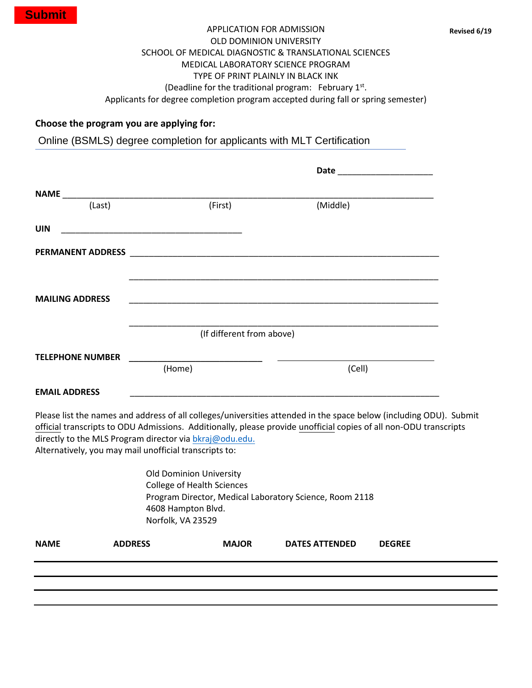Applicants for degree completion program accepted during fall or spring semester)

## **Choose the program you are applying for:**

Online (BSMLS) degree completion for applicants with MLT Certification

| (Last)                  | (First)                   | (Middle) |
|-------------------------|---------------------------|----------|
| <b>UIN</b>              |                           |          |
|                         |                           |          |
|                         |                           |          |
| <b>MAILING ADDRESS</b>  |                           |          |
|                         |                           |          |
|                         | (If different from above) |          |
| <b>TELEPHONE NUMBER</b> |                           |          |
|                         | (Home)                    | (Cell)   |
| <b>EMAIL ADDRESS</b>    |                           |          |

Please list the names and address of all colleges/universities attended in the space below (including ODU). Submit official transcripts to ODU Admissions. Additionally, please provide unofficial copies of all non-ODU transcripts directly to the MLS Program dir[ector via bkraj@odu](mailto:mbkraj@odu.edu.ailto:).edu. Alternatively, you may mail unofficial transcripts to:

> Old Dominion University College of Health Sciences Program Director, Medical Laboratory Science, Room 2118 4608 Hampton Blvd. Norfolk, VA 23529

| <b>NAME</b> | <b>ADDRESS</b> | <b>MAJOR</b> | <b>DATES ATTENDED</b> | <b>DEGREE</b> |
|-------------|----------------|--------------|-----------------------|---------------|
|             |                |              |                       |               |
|             |                |              |                       |               |
|             |                |              |                       |               |